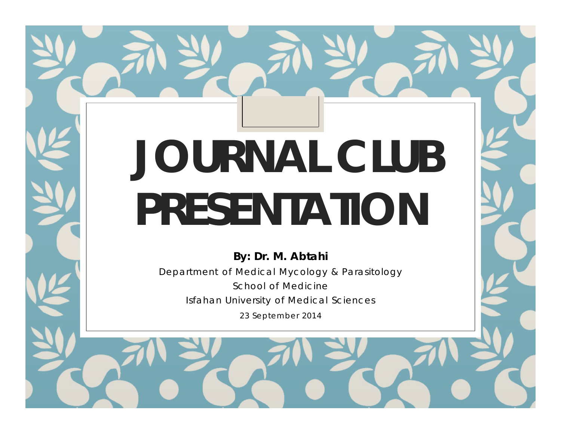# **JOURNAL CLUB PRESENTATION**

**By: Dr. M. Abtahi**

Department of Medical Mycology & Parasitology School of Medicine Isfahan University of Medical Sciences

23 September 2014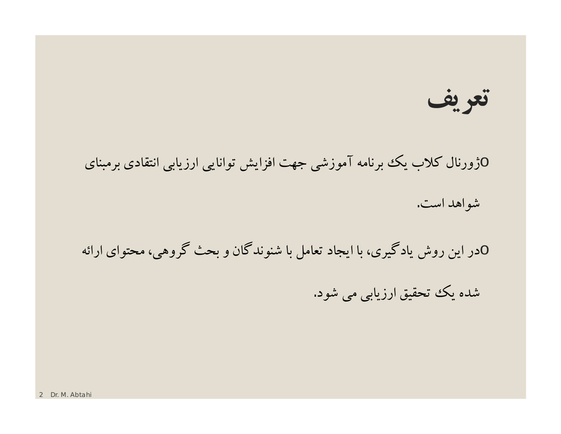**تعريف**

oژورنال کلاب يک برنامه آموزشي جهت افزايش توانايي ارزيابي انتقادي برمبناي شواهد است.

oدر اين روش يادگيري، با ايجاد تعامل با شنوندگان و بحث گروهي، محتواي ارائه

شده يک تحقيق ارزيابي مي شود.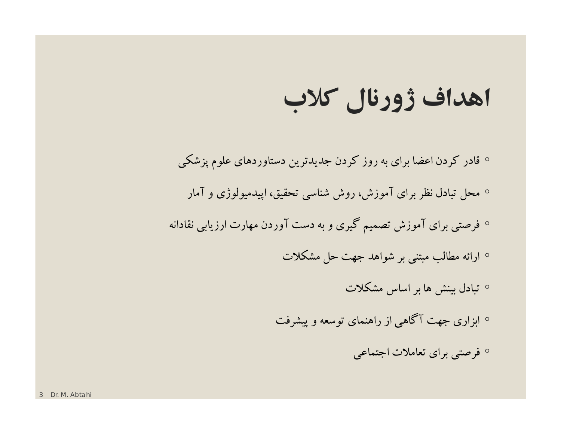# **اهداف ژورنال کلاب**

◦ قادر کردن اعضا براي به روز کردن جديدترين دستاوردهاي علوم پزشکي ◦ محل تبادل نظر براي آموزش، روش شناسي تحقيق، اپيدميولوژي و آمار ◦ فرصتي براي آموزش تصميم گيري و به دست آوردن مهارت ارزيابي نقادانه ◦ ارائه مطالب مبتني بر شواهد جهت حل مشکلات ◦ تبادل بينش ها بر اساس مشکلات ◦ ابزاري جهت آگاهي از راهنماي توسعه و پيشرفت

◦ فرصتي براي تعاملات اجتماعي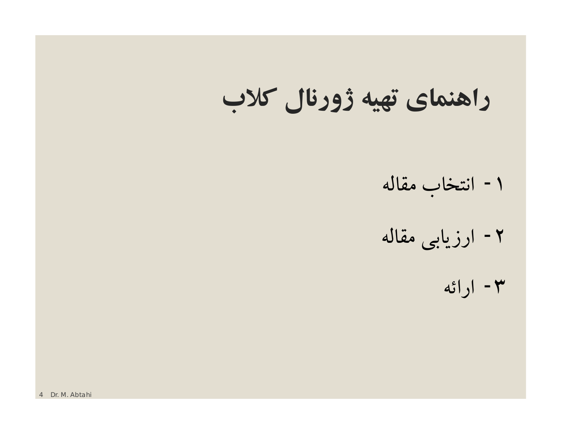**راهنماي تهيه ژورنال کلاب**

- -۱ انتخاب مقاله
- -۲ ارزيابي مقاله
	- -۳ ارائه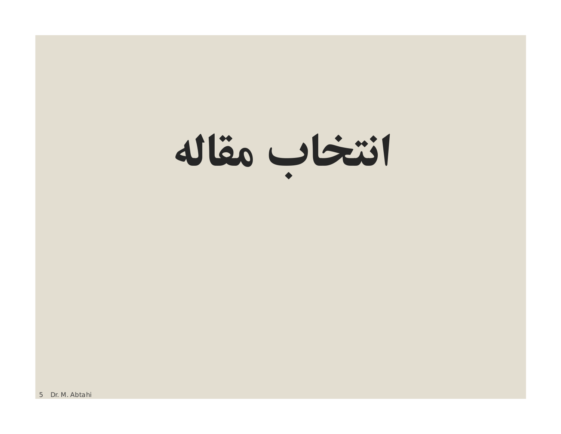# **انتخاب مقاله**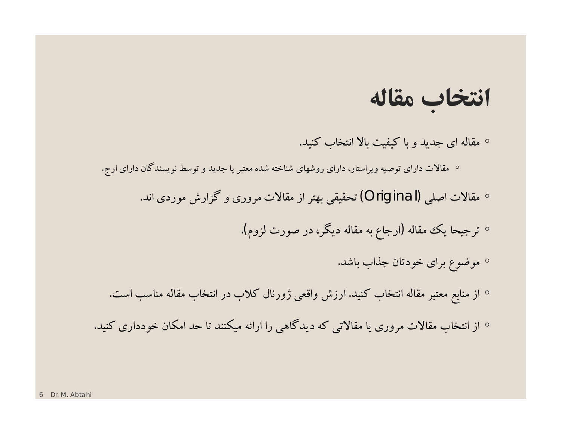## **انتخاب مقاله**

- مقاله اي جديد و با کيفيت بالا انتخاب کنيد.
- مقالات داراي توصيه ويراستار، داراي روشهاي شناخته شده معتبر يا جديد و توسط نويسندگان داراي ارج. ◦ مقالات اصلي (Original (تحقيقي بهتر از مقالات مروري و گزارش موردي اند.
	- ترجيحا يک مقاله (ارجاع به مقاله ديگر، در صورت لزوم).
		- موضوع براي خودتان جذاب باشد.
	- از منابع معتبر مقاله انتخاب کنيد. ارزش واقعي ژورنال کلاب در انتخاب مقاله مناسب است.
- از انتخاب مقالات مروري يا مقالاتي که ديدگاهي را ارائه ميکنند تا حد امکان خودداري کنيد.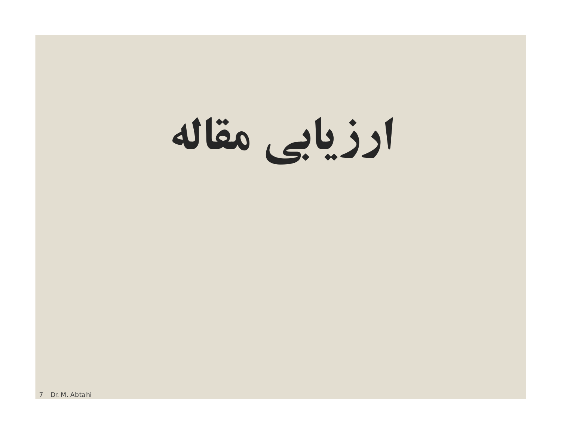# **ارزيابي مقاله**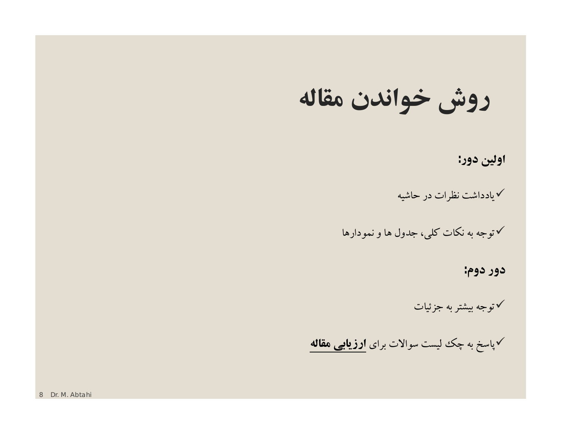**روش خواندن مقاله**

**اولين دور:** 

يادداشت نظرات در حاشيه

توجه به نکات کلي، جدول ها و نمودارها

**دور دوم:**

توجه بيشتر به جزئيات

پاسخ به چک ليست سوالات براي **ارزيابي مقاله**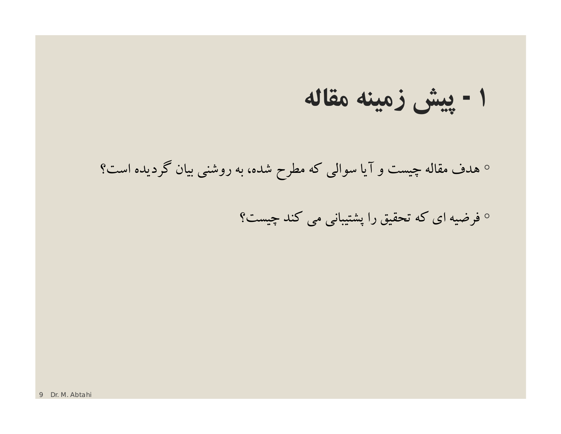**-۱ پيش زمينه مقاله**

◦ هدف مقاله چيست و آيا سوالي که مطرح شده، به روشني بيان گرديده است؟

◦ فرضيه اي که تحقيق را پشتيباني مي کند چيست؟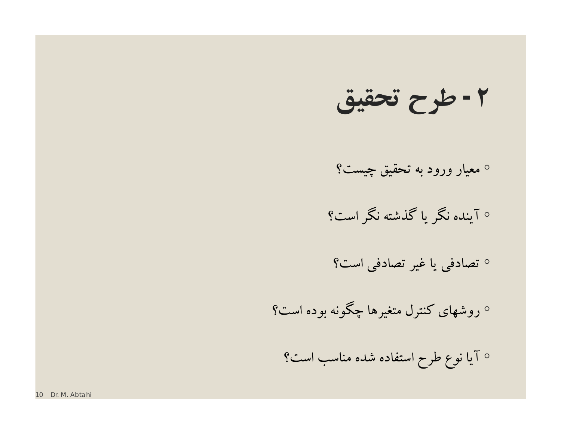**-۲ طرح تحقيق**

- معيار ورود به تحقيق چيست؟
- آينده نگر يا گذشته نگر است؟
- تصادفي يا غير تصادفي است؟
- روشهاي کنترل متغيرها چگونه بوده است؟
	- آيا نوع طرح استفاده شده مناسب است؟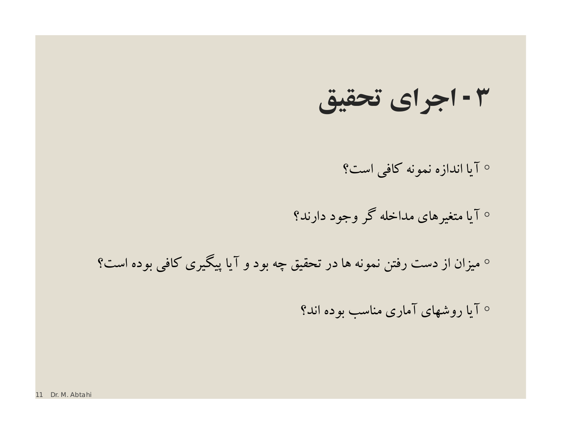**-۳ اجراي تحقيق**

◦ آيا اندازه نمونه کافي است؟

◦ آيا متغيرهاي مداخله گر وجود دارند؟

◦ ميزان از دست رفتن نمونه ها در تحقيق چه بود و آيا پيگيري کافي بوده است؟

◦ آيا روشهاي آماري مناسب بوده اند؟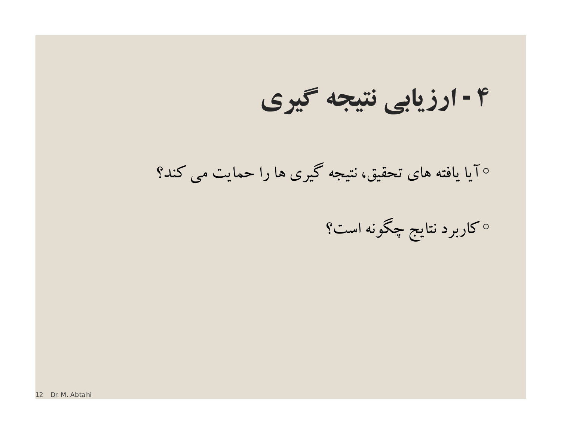**-۴ ارزيابي نتيجه گيري**

◦آيا يافته هاي تحقيق، نتيجه گيري ها را حمايت مي کند؟

◦ کاربرد نتايج چگونه است؟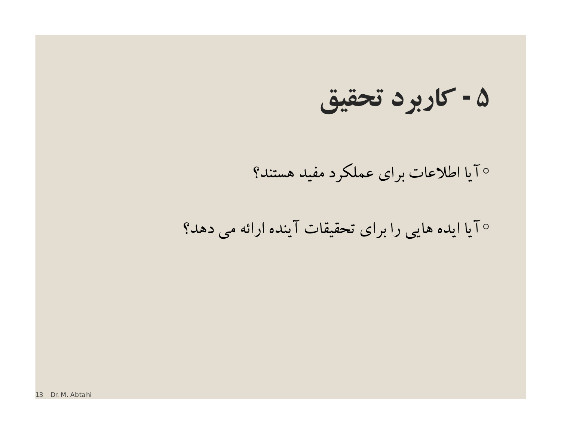**-۵ کاربرد تحقيق**

### ◦آيا اطلاعات براي عملکرد مفيد هستند؟

◦آيا ايده هايي را براي تحقيقات آينده ارائه مي دهد؟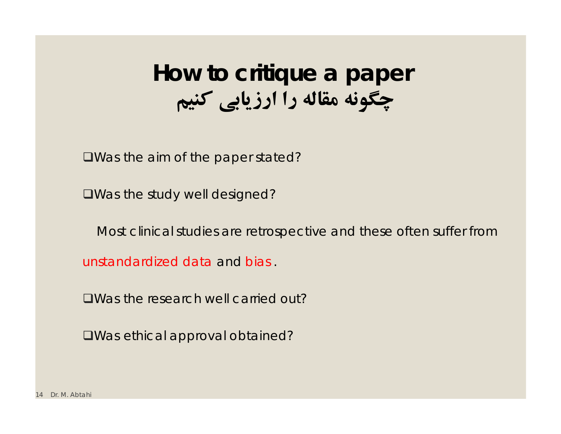### **How to critique a paper چگونه مقاله را ارزيابي کنيم**

Was the aim of the paper stated?

Was the study well designed?

Most clinical studies are retrospective and these often suffer from

unstandardized data and bias .

Was the research well carried out?

Was ethical approval obtained?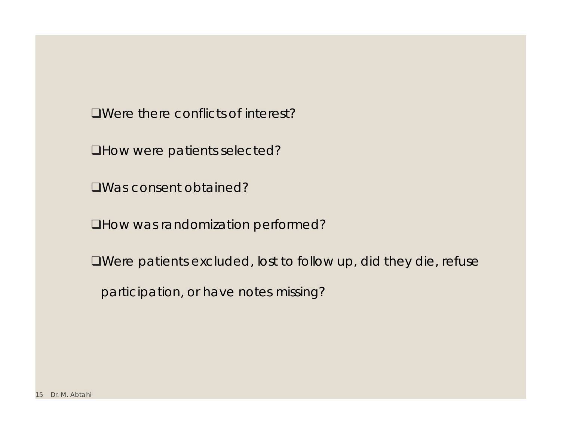Were there conflicts of interest?

How were patients selected?

Was consent obtained?

How was randomization performed?

Were patients excluded, lost to follow up, did they die, refuse

participation, or have notes missing?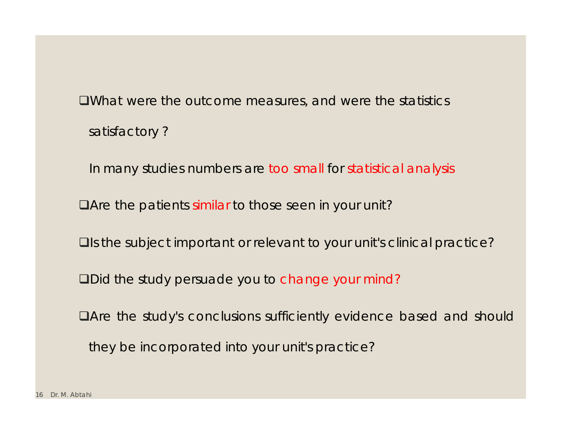- What were the outcome measures, and were the statistics satisfactory ?
	- In many studies numbers are too small for statistical analysis
- Are the patients similar to those seen in your unit?
- **□**Is the subject important or relevant to your unit's clinical practice?
- Did the study persuade you to change your mind?
- Are the study's conclusions sufficiently evidence based and should they be incorporated into your unit's practice?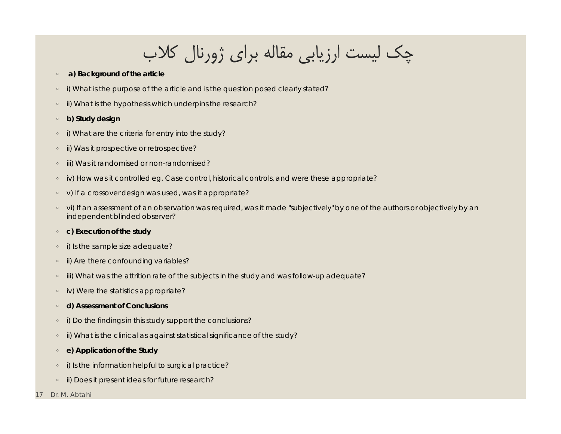چک لیست ارزیابی مقاله براي ژورنال کلاب

#### ◦ **a) Background of the article**

- i) What is the purpose of the article and is the question posed clearly stated?
- ii) What is the hypothesis which underpins the research?
- **b) Study design**
- i) What are the criteria for entry into the study?
- ii) Was it prospective or retrospective?
- iii) Was it randomised or non-randomised?
- iv) How was it controlled eg. Case control, historical controls, and were these appropriate?
- v) If a crossover design was used, was it appropriate?
- vi) If an assessment of an observation was required, was it made "subjectively" by one of the authors or objectively by an independent blinded observer?
- **c) Execution of the study**
- i) Is the sample size adequate?
- ii) Are there confounding variables?
- iii) What was the attrition rate of the subjects in the study and was follow-up adequate?
- iv) Were the statistics appropriate?
- **d) Assessment of Conclusions**
- i) Do the findings in this study support the conclusions?
- ii) What is the clinical as against statistical significance of the study?
- **e) Application of the Study**
- i) Is the information helpful to surgical practice?
- ii) Does it present ideas for future research?
- 17 Dr. M. Abtahi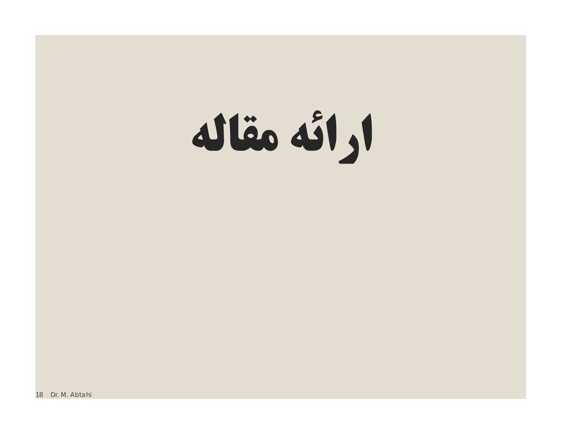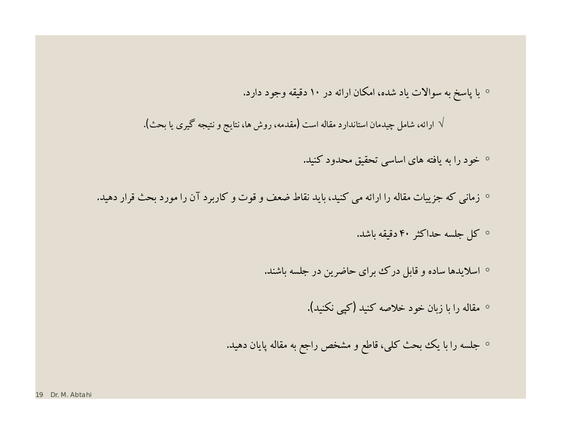◦ با پاسخ به سوالات ياد شده، امکان ارائه در ۱۰ دقيقه وجود دارد. √ ارائه، شامل چيدمان استاندارد مقاله است (مقدمه، روش ها، نتايج و نتيجه گيري يا بحث). ◦ خود را به يافته هاي اساسي تحقيق محدود کنيد. ◦ زماني که جزييات مقاله را ارائه مي کنيد، بايد نقاط ضعف و قوت و کاربرد آن را مورد بحث قراردهيد. ◦ کل جلسه حداکثر ۴۰ دقيقه باشد. ◦ اسلايدها ساده و قابل درک براي حاضرين در جلسه باشند. ◦ مقاله را با زبان خود خلاصه کنيد (کپي نکنيد).

◦ جلسه را با يک بحث کلي، قاطع و مشخص راجع به مقاله پايان دهيد.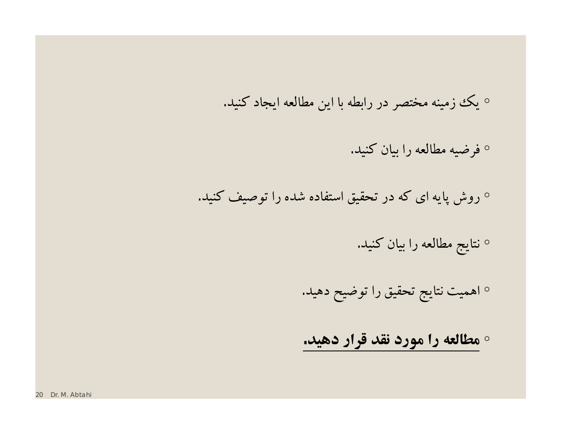○ يک زمينه مختصر در رابطه با اين مطالعه ايجاد کنيد.

◦ فرضيه مطالعه را بيان کنيد.

◦ روش پايه اي که در تحقيق استفاده شده را توصيف کنيد.

- نتايج مطالعه را بيان کنيد.
- اهميت نتايج تحقيق را توضيح دهيد.
- **مطالعه را مورد نقد قرار دهيد.**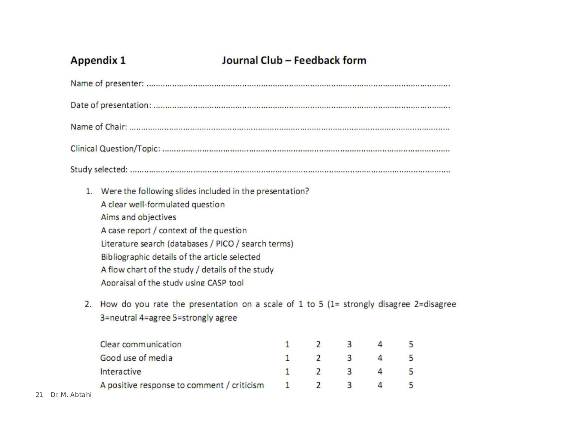#### **Appendix 1** Journal Club - Feedback form

| 1. Were the following slides included in the presentation?<br>A clear well-formulated question<br>Aims and objectives<br>A case report / context of the question<br>Literature search (databases / PICO / search terms)<br>Bibliographic details of the article selected<br>A flow chart of the study / details of the study<br>Appraisal of the study using CASP tool |              |                     |   |   |  |
|------------------------------------------------------------------------------------------------------------------------------------------------------------------------------------------------------------------------------------------------------------------------------------------------------------------------------------------------------------------------|--------------|---------------------|---|---|--|
| 2. How do you rate the presentation on a scale of 1 to 5 (1= strongly disagree 2=disagree<br>3=neutral 4=agree 5=strongly agree                                                                                                                                                                                                                                        |              |                     |   |   |  |
| Clear communication                                                                                                                                                                                                                                                                                                                                                    | 1            | 3<br>2              | 4 | 5 |  |
| Good use of media                                                                                                                                                                                                                                                                                                                                                      | $\mathbf{1}$ | $\overline{2}$<br>3 | 4 | 5 |  |
| Interactive                                                                                                                                                                                                                                                                                                                                                            | $\mathbf{1}$ | 2<br>3              | 4 | 5 |  |
| A positive response to comment / criticism<br>I. Abtahi                                                                                                                                                                                                                                                                                                                | 1            | 3<br>2              | 4 | 5 |  |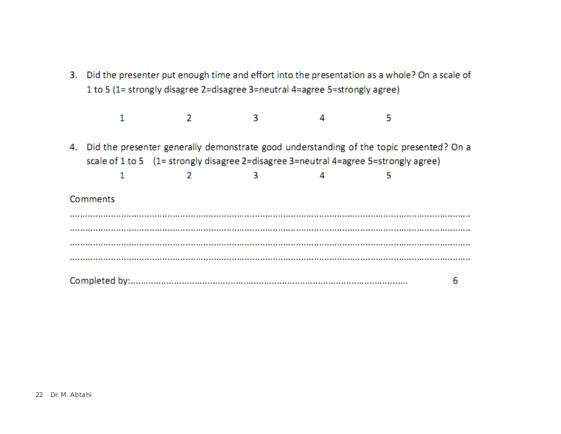3. Did the presenter put enough time and effort into the presentation as a whole? On a scale of 1 to 5 (1= strongly disagree 2=disagree 3=neutral 4=agree 5=strongly agree)

> $\mathbf{1}$  $\overline{2}$  $\overline{3}$  $\overline{a}$ 5

4. Did the presenter generally demonstrate good understanding of the topic presented? On a scale of 1 to 5 (1= strongly disagree 2=disagree 3=neutral 4=agree 5=strongly agree)  $\overline{3}$  $\mathbf{1}$  $\overline{2}$ 4 5

### Comments

6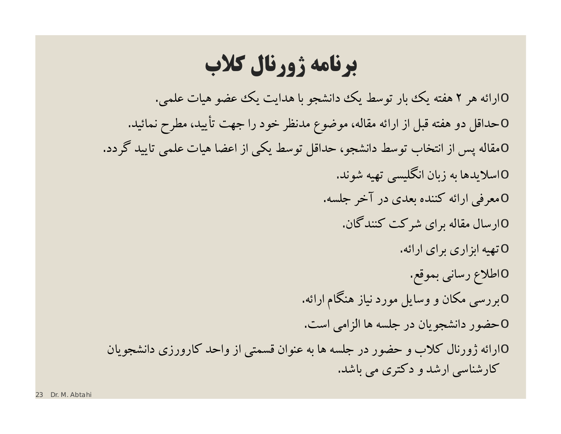## **برنامه ژورنال کلاب**

oارائه هر ۲ هفته يک بار توسط يک دانشجو با هدايت يک عضو هيات علمي. oحداقل دو هفته قبل از ارائه مقاله، موضوع مدنظر خود را جهت تأييد، مطرح نمائيد. oمقاله پس از انتخاب توسط دانشجو، حداقل توسط يکي از اعضا هيات علمي تاييد گردد. oاسلايدها به زبان انگليسي تهيه شوند. oمعرفي ارائه کننده بعدي در آخر جلسه. oارسال مقاله براي شرکت کنندگان. oتهيه ابزاري براي ارائه. oاطلاع رساني بموقع. oبررسي مکان و وسايل مورد نياز هنگام ارائه. oحضور دانشجويان در جلسه ها الزامي است. oارائه ژورنال کلاب و حضور در جلسه ها به عنوان قسمتي از واحد کارورزي دانشجويان کارشناسي ارشد و دکتري مي باشد.